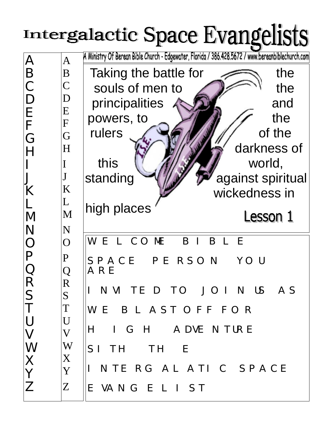Intergalactic Space Evangelists A Ministry Of Berean Bible Church - Edgewater, Florida / 386.428.5672 / www.bereanbiblechurch.com A A B B Taking the battle for  $\implies$  the C C souls of men to  $\bigotimes$  the D D principalities  $\leftarrow$  and E E powers, to the F F rulers  $\mathcal{A}$  of the G G darkness of H  $H$  |  $\vert$ I this  $\| \mathcal{A} \|$ I J J standing  $\bigvee \bigvee \bigvee$  against spiritual K K wickedness in L L high places M M Lesson 1 N N WELCOME BIBLE O O P P SPACE PERSON YOU Q Q ARE R R INVITED TO JOIN US AS S S T T WE BLAST OFF FOR  $\overline{U}$ U HIGH ADVENTURE V V W W SITH THE X X I NTE RG AL ATI C SPACE Y Y Z Z EVANGELIST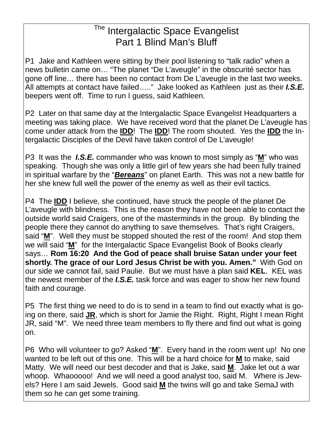## The Intergalactic Space Evangelist Part 1 Blind Man's Bluff

P1 Jake and Kathleen were sitting by their pool listening to "talk radio" when a news bulletin came on… "The planet "De L'aveugle" in the obscurité sector has gone off line… there has been no contact from De L'aveugle in the last two weeks. All attempts at contact have failed….." Jake looked as Kathleen just as their *I.S.E.* beepers went off. Time to run I guess, said Kathleen.

P2 Later on that same day at the Intergalactic Space Evangelist Headquarters a meeting was taking place. We have received word that the planet De L'aveugle has come under attack from the **IDD**! The **IDD**! The room shouted. Yes the **IDD** the Intergalactic Disciples of the Devil have taken control of De L'aveugle!

P3 It was the *I.S.E.* commander who was known to most simply as "**M**" who was speaking. Though she was only a little girl of few years she had been fully trained in spiritual warfare by the "*Bereans*" on planet Earth. This was not a new battle for her she knew full well the power of the enemy as well as their evil tactics.

P4 The **IDD** I believe, she continued, have struck the people of the planet De L'aveugle with blindness. This is the reason they have not been able to contact the outside world said Craigers, one of the masterminds in the group. By blinding the people there they cannot do anything to save themselves. That's right Craigers, said "**M**". Well they must be stopped shouted the rest of the room! And stop them we will said "**M**" for the Intergalactic Space Evangelist Book of Books clearly says… **Rom 16:20 And the God of peace shall bruise Satan under your feet shortly. The grace of our Lord Jesus Christ be with you. Amen."** With God on our side we cannot fail, said Paulie. But we must have a plan said **KEL**. KEL was the newest member of the *I.S.E.* task force and was eager to show her new found faith and courage.

P5 The first thing we need to do is to send in a team to find out exactly what is going on there, said **JR**, which is short for Jamie the Right. Right, Right I mean Right JR, said "M". We need three team members to fly there and find out what is going on.

P6 Who will volunteer to go? Asked "**M**". Every hand in the room went up! No one wanted to be left out of this one. This will be a hard choice for **M** to make, said Matty. We will need our best decoder and that is Jake, said **M**. Jake let out a war whoop. Whaooooo! And we will need a good analyst too, said M. Where is Jewels? Here I am said Jewels. Good said **M** the twins will go and take SemaJ with them so he can get some training.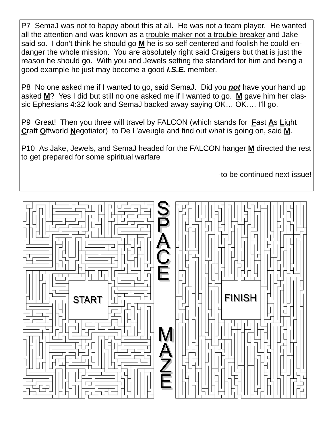P7 SemaJ was not to happy about this at all. He was not a team player. He wanted all the attention and was known as a trouble maker not a trouble breaker and Jake said so. I don't think he should go **M** he is so self centered and foolish he could endanger the whole mission. You are absolutely right said Craigers but that is just the reason he should go. With you and Jewels setting the standard for him and being a good example he just may become a good *I.S.E.* member.

P8 No one asked me if I wanted to go, said SemaJ. Did you *not* have your hand up asked **M**? Yes I did but still no one asked me if I wanted to go. **M** gave him her classic Ephesians 4:32 look and SemaJ backed away saying OK… OK…. I'll go.

P9 Great! Then you three will travel by FALCON (which stands for **F**ast **A**s **L**ight **C**raft **O**ffworld **N**egotiator) to De L'aveugle and find out what is going on, said **M**.

P10 As Jake, Jewels, and SemaJ headed for the FALCON hanger **M** directed the rest to get prepared for some spiritual warfare

-to be continued next issue!

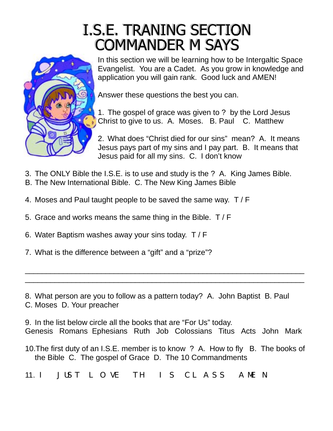## **I.S.E. TRANING SECTION COMMANDER M SAYS**



In this section we will be learning how to be Intergaltic Space Evangelist. You are a Cadet. As you grow in knowledge and application you will gain rank. Good luck and AMEN!

Answer these questions the best you can.

1. The gospel of grace was given to ? by the Lord Jesus Christ to give to us. A. Moses. B. Paul C. Matthew

2. What does "Christ died for our sins" mean? A. It means Jesus pays part of my sins and I pay part. B. It means that Jesus paid for all my sins. C. I don't know

- 3. The ONLY Bible the I.S.E. is to use and study is the ? A. King James Bible.
- B. The New International Bible. C. The New King James Bible
- 4. Moses and Paul taught people to be saved the same way. T / F
- 5. Grace and works means the same thing in the Bible. T / F
- 6. Water Baptism washes away your sins today. T / F
- 7. What is the difference between a "gift" and a "prize"?

8. What person are you to follow as a pattern today? A. John Baptist B. Paul C. Moses D. Your preacher

9. In the list below circle all the books that are "For Us" today. Genesis Romans Ephesians Ruth Job Colossians Titus Acts John Mark

 $\_$  , and the set of the set of the set of the set of the set of the set of the set of the set of the set of the set of the set of the set of the set of the set of the set of the set of the set of the set of the set of th  $\_$  , and the set of the set of the set of the set of the set of the set of the set of the set of the set of the set of the set of the set of the set of the set of the set of the set of the set of the set of the set of th

- 10.The first duty of an I.S.E. member is to know ? A. How to fly B. The books of the Bible C. The gospel of Grace D. The 10 Commandments
- 11. I JUST LOVE THIS CLASS AMEN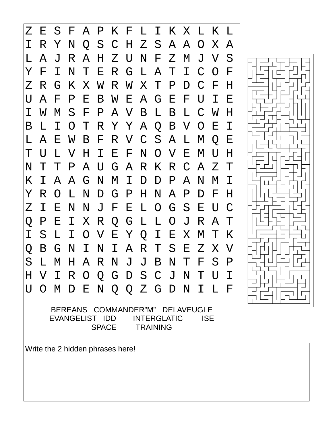